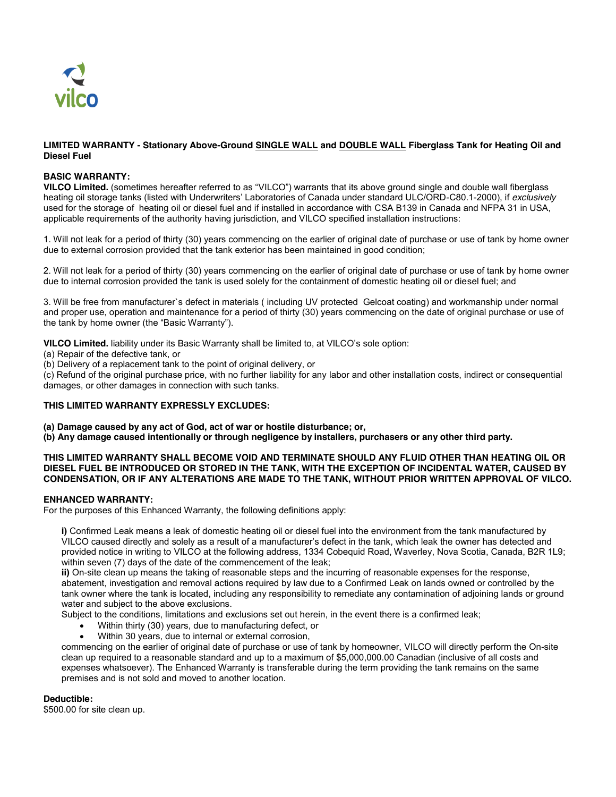

#### **LIMITED WARRANTY - Stationary Above-Ground SINGLE WALL and DOUBLE WALL Fiberglass Tank for Heating Oil and Diesel Fuel**

#### **BASIC WARRANTY:**

**VILCO Limited.** (sometimes hereafter referred to as "VILCO") warrants that its above ground single and double wall fiberglass heating oil storage tanks (listed with Underwriters' Laboratories of Canada under standard ULC/ORD-C80.1-2000), if *exclusively*  used for the storage of heating oil or diesel fuel and if installed in accordance with CSA B139 in Canada and NFPA 31 in USA, applicable requirements of the authority having jurisdiction, and VILCO specified installation instructions:

1. Will not leak for a period of thirty (30) years commencing on the earlier of original date of purchase or use of tank by home owner due to external corrosion provided that the tank exterior has been maintained in good condition;

2. Will not leak for a period of thirty (30) years commencing on the earlier of original date of purchase or use of tank by home owner due to internal corrosion provided the tank is used solely for the containment of domestic heating oil or diesel fuel; and

3. Will be free from manufacturer`s defect in materials ( including UV protected Gelcoat coating) and workmanship under normal and proper use, operation and maintenance for a period of thirty (30) years commencing on the date of original purchase or use of the tank by home owner (the "Basic Warranty").

**VILCO Limited.** liability under its Basic Warranty shall be limited to, at VILCO's sole option:

(a) Repair of the defective tank, or

(b) Delivery of a replacement tank to the point of original delivery, or

(c) Refund of the original purchase price, with no further liability for any labor and other installation costs, indirect or consequential damages, or other damages in connection with such tanks.

### **THIS LIMITED WARRANTY EXPRESSLY EXCLUDES:**

**(a) Damage caused by any act of God, act of war or hostile disturbance; or,**

**(b) Any damage caused intentionally or through negligence by installers, purchasers or any other third party.**

#### **THIS LIMITED WARRANTY SHALL BECOME VOID AND TERMINATE SHOULD ANY FLUID OTHER THAN HEATING OIL OR DIESEL FUEL BE INTRODUCED OR STORED IN THE TANK, WITH THE EXCEPTION OF INCIDENTAL WATER, CAUSED BY CONDENSATION, OR IF ANY ALTERATIONS ARE MADE TO THE TANK, WITHOUT PRIOR WRITTEN APPROVAL OF VILCO.**

### **ENHANCED WARRANTY:**

For the purposes of this Enhanced Warranty, the following definitions apply:

**i)** Confirmed Leak means a leak of domestic heating oil or diesel fuel into the environment from the tank manufactured by VILCO caused directly and solely as a result of a manufacturer's defect in the tank, which leak the owner has detected and provided notice in writing to VILCO at the following address, 1334 Cobequid Road, Waverley, Nova Scotia, Canada, B2R 1L9; within seven (7) days of the date of the commencement of the leak;

**ii)** On-site clean up means the taking of reasonable steps and the incurring of reasonable expenses for the response, abatement, investigation and removal actions required by law due to a Confirmed Leak on lands owned or controlled by the tank owner where the tank is located, including any responsibility to remediate any contamination of adjoining lands or ground water and subject to the above exclusions.

Subject to the conditions, limitations and exclusions set out herein, in the event there is a confirmed leak;

- Within thirty (30) years, due to manufacturing defect, or
- Within 30 years, due to internal or external corrosion,

commencing on the earlier of original date of purchase or use of tank by homeowner, VILCO will directly perform the On-site clean up required to a reasonable standard and up to a maximum of \$5,000,000.00 Canadian (inclusive of all costs and expenses whatsoever). The Enhanced Warranty is transferable during the term providing the tank remains on the same premises and is not sold and moved to another location.

### **Deductible:**

\$500.00 for site clean up.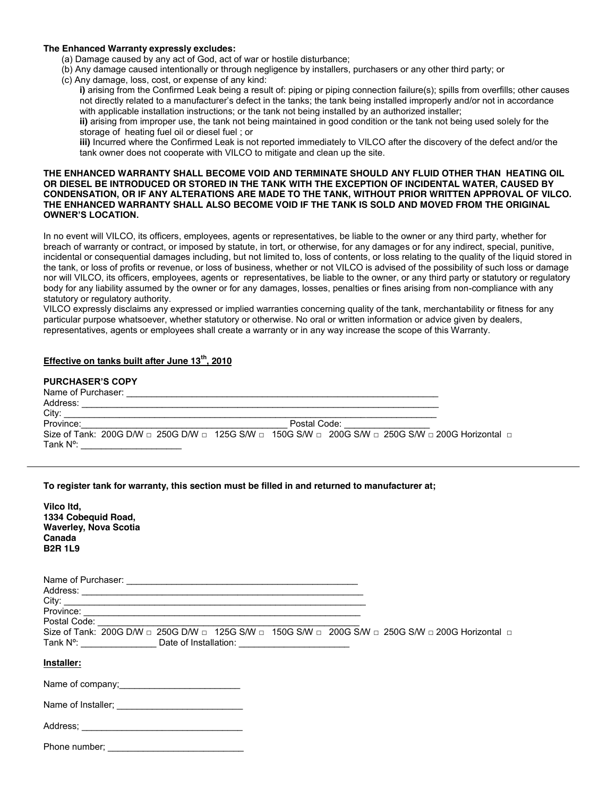#### **The Enhanced Warranty expressly excludes:**

- (a) Damage caused by any act of God, act of war or hostile disturbance;
- (b) Any damage caused intentionally or through negligence by installers, purchasers or any other third party; or
- (c) Any damage, loss, cost, or expense of any kind:

**i)** arising from the Confirmed Leak being a result of: piping or piping connection failure(s); spills from overfills; other causes not directly related to a manufacturer's defect in the tanks; the tank being installed improperly and/or not in accordance with applicable installation instructions; or the tank not being installed by an authorized installer; **ii)** arising from improper use, the tank not being maintained in good condition or the tank not being used solely for the storage of heating fuel oil or diesel fuel ; or

**iii)** Incurred where the Confirmed Leak is not reported immediately to VILCO after the discovery of the defect and/or the tank owner does not cooperate with VILCO to mitigate and clean up the site.

#### **THE ENHANCED WARRANTY SHALL BECOME VOID AND TERMINATE SHOULD ANY FLUID OTHER THAN HEATING OIL OR DIESEL BE INTRODUCED OR STORED IN THE TANK WITH THE EXCEPTION OF INCIDENTAL WATER, CAUSED BY CONDENSATION, OR IF ANY ALTERATIONS ARE MADE TO THE TANK, WITHOUT PRIOR WRITTEN APPROVAL OF VILCO. THE ENHANCED WARRANTY SHALL ALSO BECOME VOID IF THE TANK IS SOLD AND MOVED FROM THE ORIGINAL OWNER'S LOCATION.**

In no event will VILCO, its officers, employees, agents or representatives, be liable to the owner or any third party, whether for breach of warranty or contract, or imposed by statute, in tort, or otherwise, for any damages or for any indirect, special, punitive, incidental or consequential damages including, but not limited to, loss of contents, or loss relating to the quality of the liquid stored in the tank, or loss of profits or revenue, or loss of business, whether or not VILCO is advised of the possibility of such loss or damage nor will VILCO, its officers, employees, agents or representatives, be liable to the owner, or any third party or statutory or regulatory body for any liability assumed by the owner or for any damages, losses, penalties or fines arising from non-compliance with any statutory or regulatory authority.

VILCO expressly disclaims any expressed or implied warranties concerning quality of the tank, merchantability or fitness for any particular purpose whatsoever, whether statutory or otherwise. No oral or written information or advice given by dealers, representatives, agents or employees shall create a warranty or in any way increase the scope of this Warranty.

# **Effective on tanks built after June 13th, 2010**

# **PURCHASER'S COPY**

| Name of Purchaser: |                                                                                                                                      |              |  |  |
|--------------------|--------------------------------------------------------------------------------------------------------------------------------------|--------------|--|--|
| Address:           |                                                                                                                                      |              |  |  |
| City:              |                                                                                                                                      |              |  |  |
| Province:          |                                                                                                                                      | Postal Code: |  |  |
|                    | Size of Tank: 200G D/W $\Box$ 250G D/W $\Box$ 125G S/W $\Box$ 150G S/W $\Box$ 200G S/W $\Box$ 250G S/W $\Box$ 200G Horizontal $\Box$ |              |  |  |
| Tank $N^{\circ}$ : |                                                                                                                                      |              |  |  |

### **To register tank for warranty, this section must be filled in and returned to manufacturer at;**

| Vilco Itd.            |
|-----------------------|
| 1334 Cobequid Road,   |
| Waverley, Nova Scotia |
| Canada                |
| <b>B2R 1L9</b>        |
|                       |

| City:                                                                                                                                                                                                                    |
|--------------------------------------------------------------------------------------------------------------------------------------------------------------------------------------------------------------------------|
|                                                                                                                                                                                                                          |
| Postal Code: The Contract of the Code:                                                                                                                                                                                   |
| Size of Tank: 200G D/W $\Box$ 250G D/W $\Box$ 125G S/W $\Box$ 150G S/W $\Box$ 200G S/W $\Box$ 250G S/W $\Box$ 200G Horizontal $\Box$<br>Tank Nº: _________________________Date of Installation: ________________________ |
|                                                                                                                                                                                                                          |
| Installer:                                                                                                                                                                                                               |
| Name of company;<br><u> and</u><br><u> and</u><br><u>and</u><br><br>and<br><br>and<br><br>and<br><br>and<br><br>and<br><br>and<br><br><br>$\frac{1}{2}$                                                                  |
|                                                                                                                                                                                                                          |
|                                                                                                                                                                                                                          |
| Phone number:                                                                                                                                                                                                            |